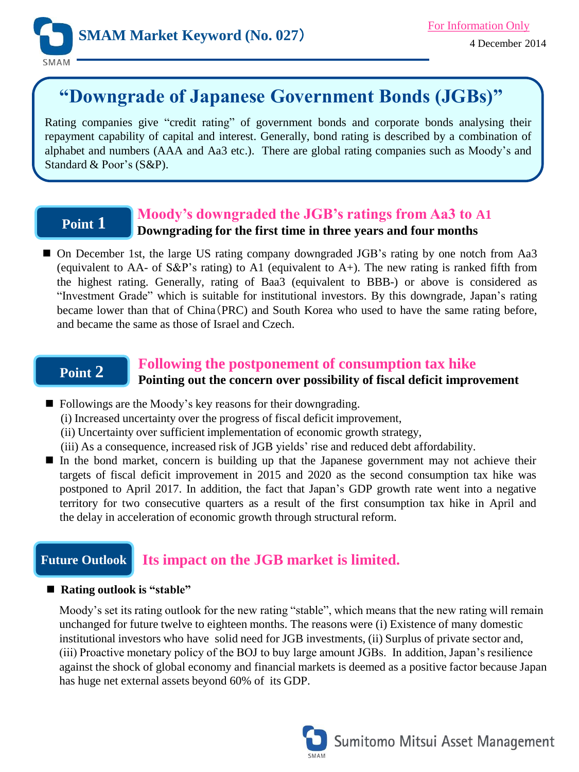

# **"Downgrade of Japanese Government Bonds (JGBs)"**

Rating companies give "credit rating" of government bonds and corporate bonds analysing their repayment capability of capital and interest. Generally, bond rating is described by a combination of alphabet and numbers (AAA and Aa3 etc.). There are global rating companies such as Moody's and Standard & Poor's (S&P).

# **Point 1**

## **Moody's downgraded the JGB's ratings from Aa3 to A1 Downgrading for the first time in three years and four months**

■ On December 1st, the large US rating company downgraded JGB's rating by one notch from Aa3 (equivalent to AA- of S&P's rating) to A1 (equivalent to A+). The new rating is ranked fifth from the highest rating. Generally, rating of Baa3 (equivalent to BBB-) or above is considered as "Investment Grade" which is suitable for institutional investors. By this downgrade, Japan's rating became lower than that of China(PRC) and South Korea who used to have the same rating before, and became the same as those of Israel and Czech.

# **Point 2**

# **Following the postponement of consumption tax hike**

**Pointing out the concern over possibility of fiscal deficit improvement**

- Followings are the Moody's key reasons for their downgrading.
	- (i) Increased uncertainty over the progress of fiscal deficit improvement,
	- (ii) Uncertainty over sufficient implementation of economic growth strategy,
	- (iii) As a consequence, increased risk of JGB yields' rise and reduced debt affordability.
- In the bond market, concern is building up that the Japanese government may not achieve their targets of fiscal deficit improvement in 2015 and 2020 as the second consumption tax hike was postponed to April 2017. In addition, the fact that Japan's GDP growth rate went into a negative territory for two consecutive quarters as a result of the first consumption tax hike in April and the delay in acceleration of economic growth through structural reform.

#### **Future Outlook Its impact on the JGB market is limited.**

### **Rating outlook is "stable"**

Moody's set its rating outlook for the new rating "stable", which means that the new rating will remain unchanged for future twelve to eighteen months. The reasons were (i) Existence of many domestic institutional investors who have solid need for JGB investments, (ii) Surplus of private sector and, (iii) Proactive monetary policy of the BOJ to buy large amount JGBs. In addition, Japan's resilience against the shock of global economy and financial markets is deemed as a positive factor because Japan has huge net external assets beyond 60% of its GDP.